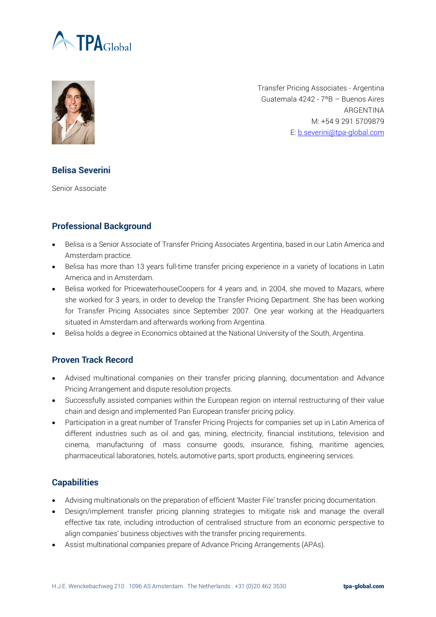



Transfer Pricing Associates - Argentina Guatemala 4242 - 7ºB – Buenos Aires ARGENTINA M: +54 9 291 5709879 E[: b.severini@tpa-global.com](mailto:b.severini@tpa-global.com)

## **Belisa Severini**

Senior Associate

## **Professional Background**

- Belisa is a Senior Associate of Transfer Pricing Associates Argentina, based in our Latin America and Amsterdam practice.
- Belisa has more than 13 years full-time transfer pricing experience in a variety of locations in Latin America and in Amsterdam.
- Belisa worked for PricewaterhouseCoopers for 4 years and, in 2004, she moved to Mazars, where she worked for 3 years, in order to develop the Transfer Pricing Department. She has been working for Transfer Pricing Associates since September 2007. One year working at the Headquarters situated in Amsterdam and afterwards working from Argentina.
- Belisa holds a degree in Economics obtained at the National University of the South, Argentina.

## **Proven Track Record**

- Advised multinational companies on their transfer pricing planning, documentation and Advance Pricing Arrangement and dispute resolution projects.
- Successfully assisted companies within the European region on internal restructuring of their value chain and design and implemented Pan European transfer pricing policy.
- Participation in a great number of Transfer Pricing Projects for companies set up in Latin America of different industries such as oil and gas, mining, electricity, financial institutions, television and cinema, manufacturing of mass consume goods, insurance, fishing, maritime agencies, pharmaceutical laboratories, hotels, automotive parts, sport products, engineering services.

## **Capabilities**

- Advising multinationals on the preparation of efficient 'Master File' transfer pricing documentation.
- Design/implement transfer pricing planning strategies to mitigate risk and manage the overall effective tax rate, including introduction of centralised structure from an economic perspective to align companies' business objectives with the transfer pricing requirements.
- Assist multinational companies prepare of Advance Pricing Arrangements (APAs).